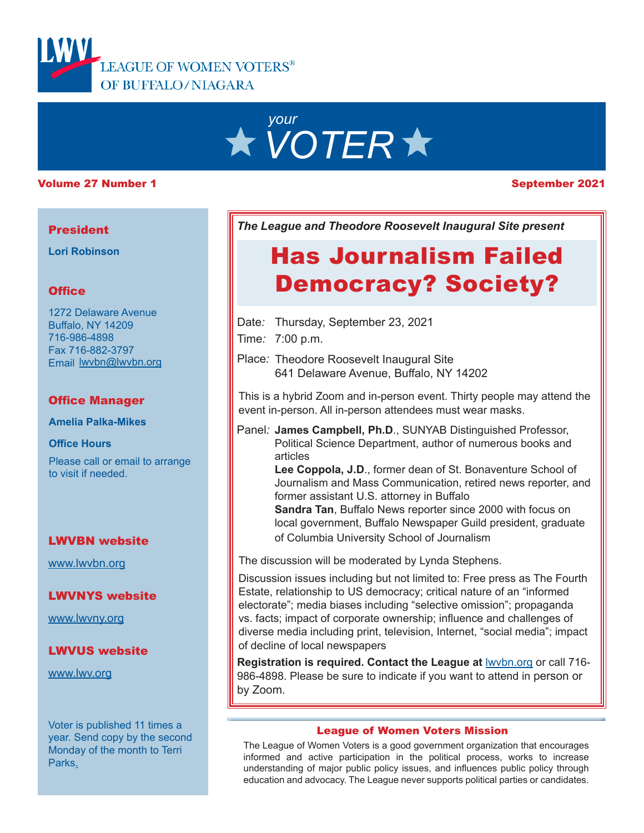

# *your VOTER*

#### Volume 27 Number 1 September 2021

#### **President**

**Lori Robinson**

#### **Office**

1272 Delaware Avenue Buffalo, NY 14209 716-986-4898 Fax 716-882-3797 Email lwvbn@lwvbn.org

#### Office Manager

**Amelia Palka-Mikes**

**Office Hours**

Please call or email to arrange to visit if needed.

#### LWVBN website

[www.lwvbn.org](https://www.lwvbn.org/)

#### LWVNYS website

[www.lwvny.org](https://www.lwvny.org/)

#### LWVUS website

[www.lwv.org](https://www.lwv.org/)

Voter is published 11 times a year. Send copy by the second Monday of the month to Terri Parks.

*The League and Theodore Roosevelt Inaugural Site present*

## Has Journalism Failed Democracy? Society?

- Date*:* Thursday, September 23, 2021
- Time*:* 7:00 p.m.
- Place*:* Theodore Roosevelt Inaugural Site 641 Delaware Avenue, Buffalo, NY 14202

This is a hybrid Zoom and in-person event. Thirty people may attend the event in-person. All in-person attendees must wear masks.

- Panel*:* **James Campbell, Ph.D**., SUNYAB Distinguished Professor, Political Science Department, author of numerous books and articles
	- **Lee Coppola, J.D**., former dean of St. Bonaventure School of Journalism and Mass Communication, retired news reporter, and former assistant U.S. attorney in Buffalo

**Sandra Tan**, Buffalo News reporter since 2000 with focus on local government, Buffalo Newspaper Guild president, graduate of Columbia University School of Journalism

The discussion will be moderated by Lynda Stephens.

Discussion issues including but not limited to: Free press as The Fourth Estate, relationship to US democracy; critical nature of an "informed electorate"; media biases including "selective omission"; propaganda vs. facts; impact of corporate ownership; influence and challenges of diverse media including print, television, Internet, "social media"; impact of decline of local newspapers

**Registration is required. Contact the League at <b>Iwybn.org** or call 716-986-4898. Please be sure to indicate if you want to attend in person or by Zoom.

#### League of Women Voters Mission

The League of Women Voters is a good government organization that encourages informed and active participation in the political process, works to increase understanding of major public policy issues, and influences public policy through education and advocacy. The League never supports political parties or candidates.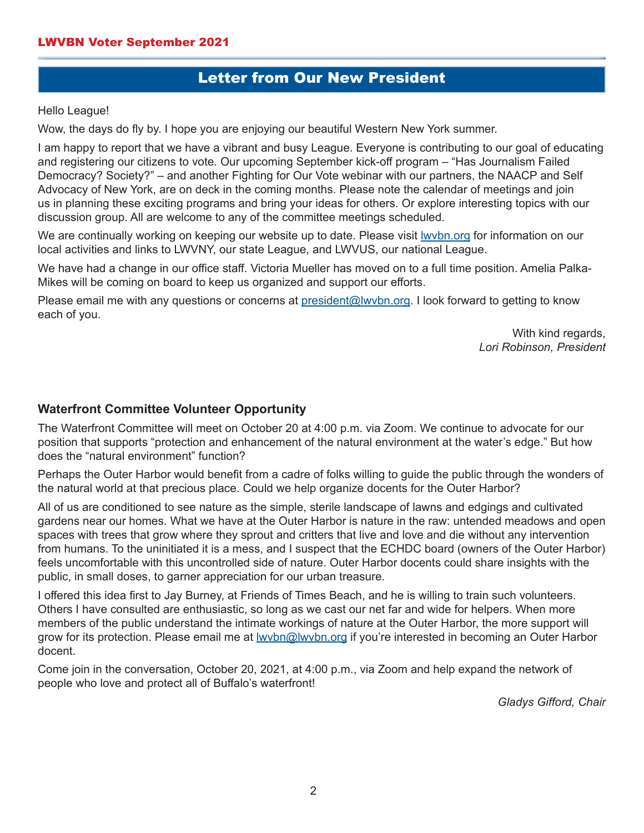### Letter from Our New President

Hello League!

Wow, the days do fly by. I hope you are enjoying our beautiful Western New York summer.

I am happy to report that we have a vibrant and busy League. Everyone is contributing to our goal of educating and registering our citizens to vote. Our upcoming September kick-off program – "Has Journalism Failed Democracy? Society?" – and another Fighting for Our Vote webinar with our partners, the NAACP and Self Advocacy of New York, are on deck in the coming months. Please note the calendar of meetings and join us in planning these exciting programs and bring your ideas for others. Or explore interesting topics with our discussion group. All are welcome to any of the committee meetings scheduled.

We are continually working on keeping our website up to date. Please visit Iwvbn.org for information on our local activities and links to LWVNY, our state League, and LWVUS, our national League.

We have had a change in our office staff. Victoria Mueller has moved on to a full time position. Amelia Palka-Mikes will be coming on board to keep us organized and support our efforts.

Please email me with any questions or concerns at [president@lwvbn.org](mailto://president@lwvbn.org). I look forward to getting to know each of you.

> With kind regards, *Lori Robinson, President*

#### **Waterfront Committee Volunteer Opportunity**

The Waterfront Committee will meet on October 20 at 4:00 p.m. via Zoom. We continue to advocate for our position that supports "protection and enhancement of the natural environment at the water's edge." But how does the "natural environment" function?

Perhaps the Outer Harbor would benefit from a cadre of folks willing to guide the public through the wonders of the natural world at that precious place. Could we help organize docents for the Outer Harbor?

All of us are conditioned to see nature as the simple, sterile landscape of lawns and edgings and cultivated gardens near our homes. What we have at the Outer Harbor is nature in the raw: untended meadows and open spaces with trees that grow where they sprout and critters that live and love and die without any intervention from humans. To the uninitiated it is a mess, and I suspect that the ECHDC board (owners of the Outer Harbor) feels uncomfortable with this uncontrolled side of nature. Outer Harbor docents could share insights with the public, in small doses, to garner appreciation for our urban treasure.

I offered this idea first to Jay Burney, at Friends of Times Beach, and he is willing to train such volunteers. Others I have consulted are enthusiastic, so long as we cast our net far and wide for helpers. When more members of the public understand the intimate workings of nature at the Outer Harbor, the more support will grow for its protection. Please email me at <u>Iwvbn@lwvbn.org</u> if you're interested in becoming an Outer Harbor docent.

Come join in the conversation, October 20, 2021, at 4:00 p.m., via Zoom and help expand the network of people who love and protect all of Buffalo's waterfront!

*Gladys Gifford, Chair*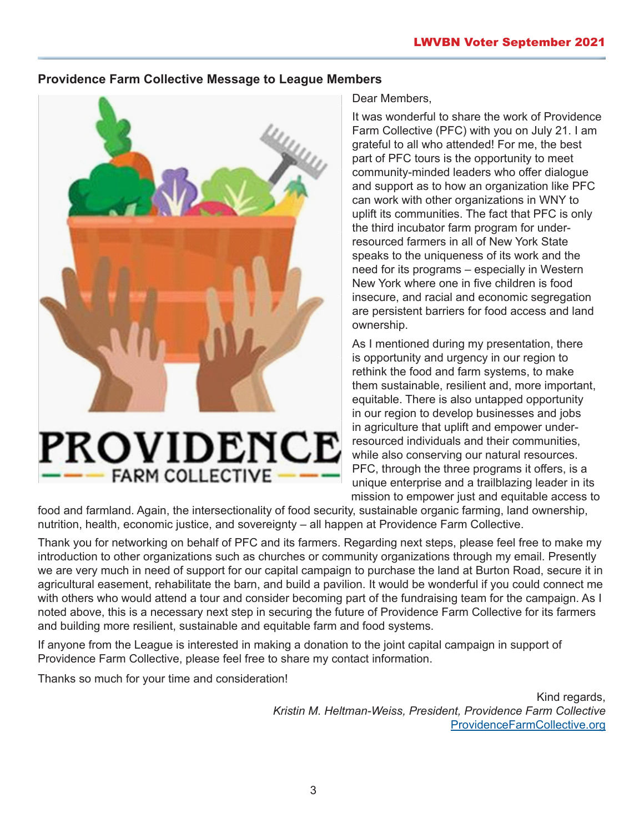#### **Providence Farm Collective Message to League Members**



# **PROVIDENCE FARM COLLECTIVE**

#### Dear Members,

It was wonderful to share the work of Providence Farm Collective (PFC) with you on July 21. I am grateful to all who attended! For me, the best part of PFC tours is the opportunity to meet community-minded leaders who offer dialogue and support as to how an organization like PFC can work with other organizations in WNY to uplift its communities. The fact that PFC is only the third incubator farm program for underresourced farmers in all of New York State speaks to the uniqueness of its work and the need for its programs – especially in Western New York where one in five children is food insecure, and racial and economic segregation are persistent barriers for food access and land ownership.

As I mentioned during my presentation, there is opportunity and urgency in our region to rethink the food and farm systems, to make them sustainable, resilient and, more important, equitable. There is also untapped opportunity in our region to develop businesses and jobs in agriculture that uplift and empower underresourced individuals and their communities, while also conserving our natural resources. PFC, through the three programs it offers, is a unique enterprise and a trailblazing leader in its mission to empower just and equitable access to

food and farmland. Again, the intersectionality of food security, sustainable organic farming, land ownership, nutrition, health, economic justice, and sovereignty – all happen at Providence Farm Collective.

Thank you for networking on behalf of PFC and its farmers. Regarding next steps, please feel free to make my introduction to other organizations such as churches or community organizations through my email. Presently we are very much in need of support for our capital campaign to purchase the land at Burton Road, secure it in agricultural easement, rehabilitate the barn, and build a pavilion. It would be wonderful if you could connect me with others who would attend a tour and consider becoming part of the fundraising team for the campaign. As I noted above, this is a necessary next step in securing the future of Providence Farm Collective for its farmers and building more resilient, sustainable and equitable farm and food systems.

If anyone from the League is interested in making a donation to the joint capital campaign in support of Providence Farm Collective, please feel free to share my contact information.

Thanks so much for your time and consideration!

Kind regards, *Kristin M. Heltman-Weiss, President, Providence Farm Collective* [ProvidenceFarmCollective.org](http://providencefarmcollective.org/)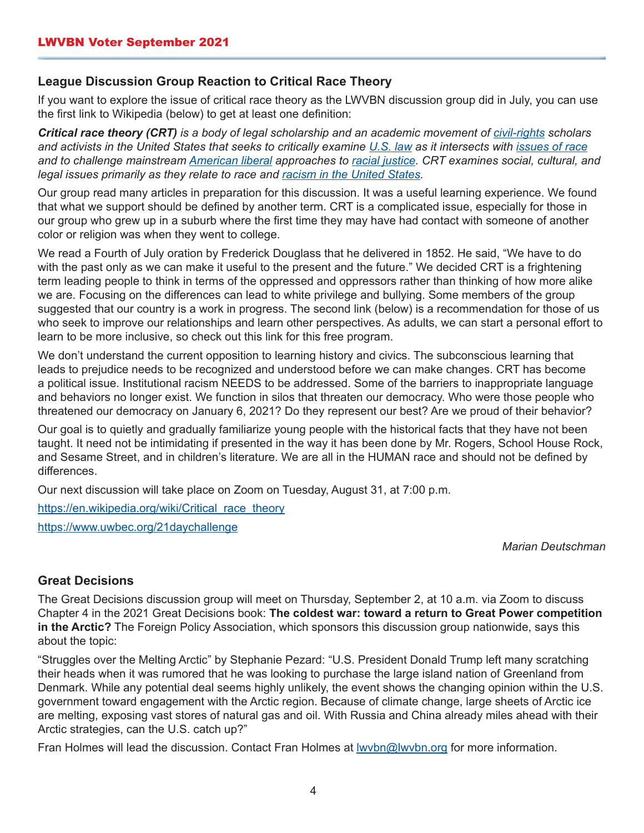#### **League Discussion Group Reaction to Critical Race Theory**

If you want to explore the issue of critical race theory as the LWVBN discussion group did in July, you can use the first link to Wikipedia (below) to get at least one definition:

*Critical race theory (CRT) is a body of legal scholarship and an academic movement of [civil-rights](https://en.wikipedia.org/wiki/Civil_and_political_rights) scholars and activists in the United States that seeks to critically examine [U.S. law](https://en.wikipedia.org/wiki/Law_of_the_United_States) as it intersects with [issues of race](https://en.wikipedia.org/wiki/Race_and_ethnicity_in_the_United_States) and to challenge mainstream [American liberal](https://en.wikipedia.org/wiki/Liberalism_in_the_United_States) approaches to [racial justice](https://en.wikipedia.org/wiki/Racial_justice). CRT examines social, cultural, and legal issues primarily as they relate to race and [racism in the United States.](https://en.wikipedia.org/wiki/Racism_in_the_United_States)*

Our group read many articles in preparation for this discussion. It was a useful learning experience. We found that what we support should be defined by another term. CRT is a complicated issue, especially for those in our group who grew up in a suburb where the first time they may have had contact with someone of another color or religion was when they went to college.

We read a Fourth of July oration by Frederick Douglass that he delivered in 1852. He said, "We have to do with the past only as we can make it useful to the present and the future." We decided CRT is a frightening term leading people to think in terms of the oppressed and oppressors rather than thinking of how more alike we are. Focusing on the differences can lead to white privilege and bullying. Some members of the group suggested that our country is a work in progress. The second link (below) is a recommendation for those of us who seek to improve our relationships and learn other perspectives. As adults, we can start a personal effort to learn to be more inclusive, so check out this link for this free program.

We don't understand the current opposition to learning history and civics. The subconscious learning that leads to prejudice needs to be recognized and understood before we can make changes. CRT has become a political issue. Institutional racism NEEDS to be addressed. Some of the barriers to inappropriate language and behaviors no longer exist. We function in silos that threaten our democracy. Who were those people who threatened our democracy on January 6, 2021? Do they represent our best? Are we proud of their behavior?

Our goal is to quietly and gradually familiarize young people with the historical facts that they have not been taught. It need not be intimidating if presented in the way it has been done by Mr. Rogers, School House Rock, and Sesame Street, and in children's literature. We are all in the HUMAN race and should not be defined by differences.

Our next discussion will take place on Zoom on Tuesday, August 31, at 7:00 p.m.

[https://en.wikipedia.org/wiki/Critical\\_race\\_theory](https://en.wikipedia.org/wiki/Critical_race_theory) <https://www.uwbec.org/21daychallenge>

*Marian Deutschman*

#### **Great Decisions**

The Great Decisions discussion group will meet on Thursday, September 2, at 10 a.m. via Zoom to discuss Chapter 4 in the 2021 Great Decisions book: **The coldest war: toward a return to Great Power competition in the Arctic?** The Foreign Policy Association, which sponsors this discussion group nationwide, says this about the topic:

"Struggles over the Melting Arctic" by Stephanie Pezard: "U.S. President Donald Trump left many scratching their heads when it was rumored that he was looking to purchase the large island nation of Greenland from Denmark. While any potential deal seems highly unlikely, the event shows the changing opinion within the U.S. government toward engagement with the Arctic region. Because of climate change, large sheets of Arctic ice are melting, exposing vast stores of natural gas and oil. With Russia and China already miles ahead with their Arctic strategies, can the U.S. catch up?"

Fran Holmes will lead the discussion. Contact Fran Holmes at lwvbn@lwvbn.org for more information.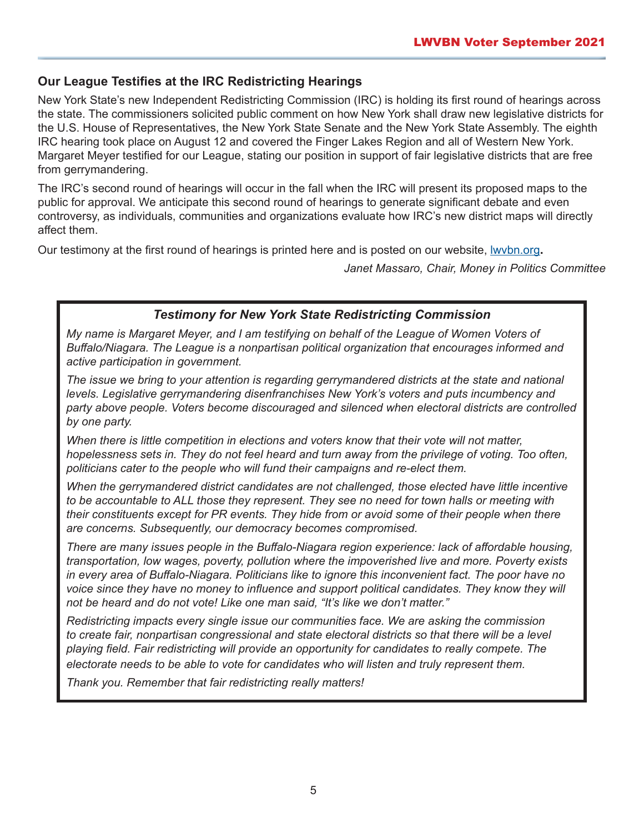### **Our League Testifies at the IRC Redistricting Hearings**

New York State's new Independent Redistricting Commission (IRC) is holding its first round of hearings across the state. The commissioners solicited public comment on how New York shall draw new legislative districts for the U.S. House of Representatives, the New York State Senate and the New York State Assembly. The eighth IRC hearing took place on August 12 and covered the Finger Lakes Region and all of Western New York. Margaret Meyer testified for our League, stating our position in support of fair legislative districts that are free from gerrymandering.

The IRC's second round of hearings will occur in the fall when the IRC will present its proposed maps to the public for approval. We anticipate this second round of hearings to generate significant debate and even controversy, as individuals, communities and organizations evaluate how IRC's new district maps will directly affect them.

Our testimony at the first round of hearings is printed here and is posted on our website, [lwvbn.org](https://www.lwvbn.org/)**.** 

*Janet Massaro, Chair, Money in Politics Committee*

#### *Testimony for New York State Redistricting Commission*

*My name is Margaret Meyer, and I am testifying on behalf of the League of Women Voters of Buffalo/Niagara. The League is a nonpartisan political organization that encourages informed and active participation in government.* 

*The issue we bring to your attention is regarding gerrymandered districts at the state and national levels. Legislative gerrymandering disenfranchises New York's voters and puts incumbency and party above people. Voters become discouraged and silenced when electoral districts are controlled by one party.* 

*When there is little competition in elections and voters know that their vote will not matter,*  hopelessness sets in. They do not feel heard and turn away from the privilege of voting. Too often, *politicians cater to the people who will fund their campaigns and re-elect them.* 

*When the gerrymandered district candidates are not challenged, those elected have little incentive to be accountable to ALL those they represent. They see no need for town halls or meeting with their constituents except for PR events. They hide from or avoid some of their people when there are concerns. Subsequently, our democracy becomes compromised.*

*There are many issues people in the Buffalo-Niagara region experience: lack of affordable housing, transportation, low wages, poverty, pollution where the impoverished live and more. Poverty exists in every area of Buffalo-Niagara. Politicians like to ignore this inconvenient fact. The poor have no*  voice since they have no money to influence and support political candidates. They know they will *not be heard and do not vote! Like one man said, "It's like we don't matter."* 

*Redistricting impacts every single issue our communities face. We are asking the commission to create fair, nonpartisan congressional and state electoral districts so that there will be a level playing field. Fair redistricting will provide an opportunity for candidates to really compete. The electorate needs to be able to vote for candidates who will listen and truly represent them.* 

*Thank you. Remember that fair redistricting really matters!*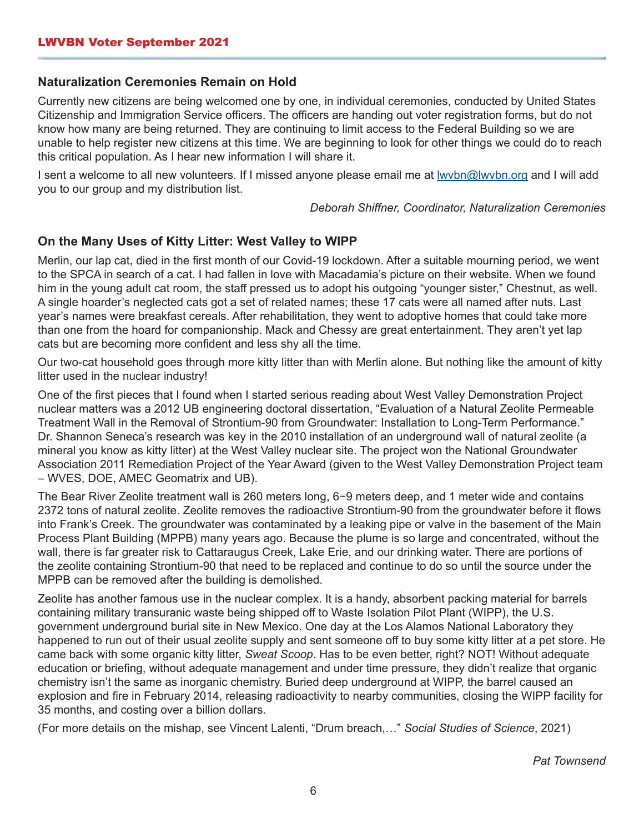#### **Naturalization Ceremonies Remain on Hold**

Currently new citizens are being welcomed one by one, in individual ceremonies, conducted by United States Citizenship and Immigration Service officers. The officers are handing out voter registration forms, but do not know how many are being returned. They are continuing to limit access to the Federal Building so we are unable to help register new citizens at this time. We are beginning to look for other things we could do to reach this critical population. As I hear new information I will share it.

I sent a welcome to all new volunteers. If I missed anyone please email me at lwvbn@lwvbn.org and I will add you to our group and my distribution list.

*Deborah Shiffner, Coordinator, Naturalization Ceremonies*

#### **On the Many Uses of Kitty Litter: West Valley to WIPP**

Merlin, our lap cat, died in the first month of our Covid-19 lockdown. After a suitable mourning period, we went to the SPCA in search of a cat. I had fallen in love with Macadamia's picture on their website. When we found him in the young adult cat room, the staff pressed us to adopt his outgoing "younger sister," Chestnut, as well. A single hoarder's neglected cats got a set of related names; these 17 cats were all named after nuts. Last year's names were breakfast cereals. After rehabilitation, they went to adoptive homes that could take more than one from the hoard for companionship. Mack and Chessy are great entertainment. They aren't yet lap cats but are becoming more confident and less shy all the time.

Our two-cat household goes through more kitty litter than with Merlin alone. But nothing like the amount of kitty litter used in the nuclear industry!

One of the first pieces that I found when I started serious reading about West Valley Demonstration Project nuclear matters was a 2012 UB engineering doctoral dissertation, "Evaluation of a Natural Zeolite Permeable Treatment Wall in the Removal of Strontium-90 from Groundwater: Installation to Long-Term Performance." Dr. Shannon Seneca's research was key in the 2010 installation of an underground wall of natural zeolite (a mineral you know as kitty litter) at the West Valley nuclear site. The project won the National Groundwater Association 2011 Remediation Project of the Year Award (given to the West Valley Demonstration Project team – WVES, DOE, AMEC Geomatrix and UB).

The Bear River Zeolite treatment wall is 260 meters long, 6−9 meters deep, and 1 meter wide and contains 2372 tons of natural zeolite. Zeolite removes the radioactive Strontium-90 from the groundwater before it flows into Frank's Creek. The groundwater was contaminated by a leaking pipe or valve in the basement of the Main Process Plant Building (MPPB) many years ago. Because the plume is so large and concentrated, without the wall, there is far greater risk to Cattaraugus Creek, Lake Erie, and our drinking water. There are portions of the zeolite containing Strontium-90 that need to be replaced and continue to do so until the source under the MPPB can be removed after the building is demolished.

Zeolite has another famous use in the nuclear complex. It is a handy, absorbent packing material for barrels containing military transuranic waste being shipped off to Waste Isolation Pilot Plant (WIPP), the U.S. government underground burial site in New Mexico. One day at the Los Alamos National Laboratory they happened to run out of their usual zeolite supply and sent someone off to buy some kitty litter at a pet store. He came back with some organic kitty litter, *Sweat Scoop*. Has to be even better, right? NOT! Without adequate education or briefing, without adequate management and under time pressure, they didn't realize that organic chemistry isn't the same as inorganic chemistry. Buried deep underground at WIPP, the barrel caused an explosion and fire in February 2014, releasing radioactivity to nearby communities, closing the WIPP facility for 35 months, and costing over a billion dollars.

(For more details on the mishap, see Vincent Lalenti, "Drum breach,…" *Social Studies of Science*, 2021)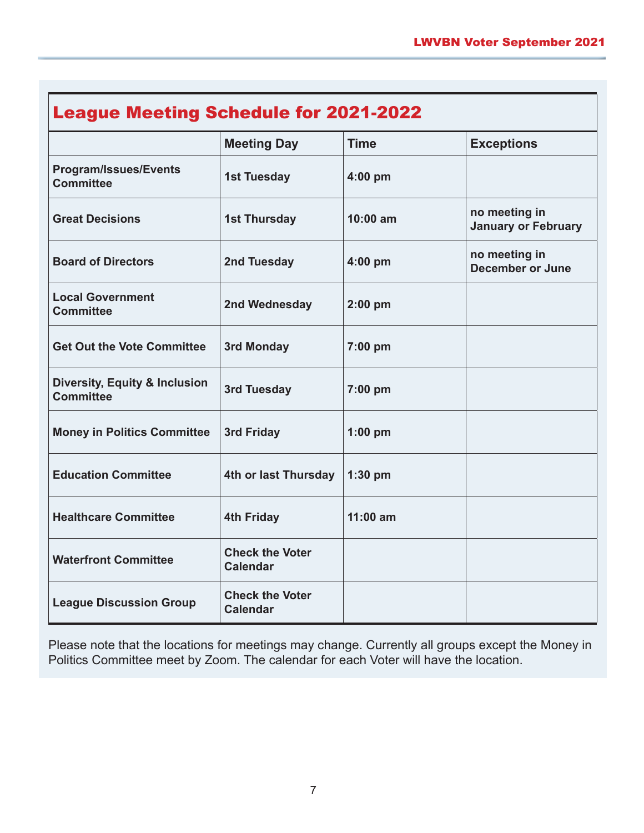| <b>League Meeting Schedule for 2021-2022</b>                 |                                           |             |                                             |
|--------------------------------------------------------------|-------------------------------------------|-------------|---------------------------------------------|
|                                                              | <b>Meeting Day</b>                        | <b>Time</b> | <b>Exceptions</b>                           |
| <b>Program/Issues/Events</b><br><b>Committee</b>             | <b>1st Tuesday</b>                        | $4:00$ pm   |                                             |
| <b>Great Decisions</b>                                       | <b>1st Thursday</b>                       | $10:00$ am  | no meeting in<br><b>January or February</b> |
| <b>Board of Directors</b>                                    | 2nd Tuesday                               | $4:00$ pm   | no meeting in<br><b>December or June</b>    |
| <b>Local Government</b><br><b>Committee</b>                  | 2nd Wednesday                             | $2:00$ pm   |                                             |
| <b>Get Out the Vote Committee</b>                            | 3rd Monday                                | 7:00 pm     |                                             |
| <b>Diversity, Equity &amp; Inclusion</b><br><b>Committee</b> | 3rd Tuesday                               | 7:00 pm     |                                             |
| <b>Money in Politics Committee</b>                           | 3rd Friday                                | $1:00$ pm   |                                             |
| <b>Education Committee</b>                                   | 4th or last Thursday                      | $1:30$ pm   |                                             |
| <b>Healthcare Committee</b>                                  | <b>4th Friday</b>                         | $11:00$ am  |                                             |
| <b>Waterfront Committee</b>                                  | <b>Check the Voter</b><br><b>Calendar</b> |             |                                             |
| <b>League Discussion Group</b>                               | <b>Check the Voter</b><br><b>Calendar</b> |             |                                             |

Please note that the locations for meetings may change. Currently all groups except the Money in Politics Committee meet by Zoom. The calendar for each Voter will have the location.